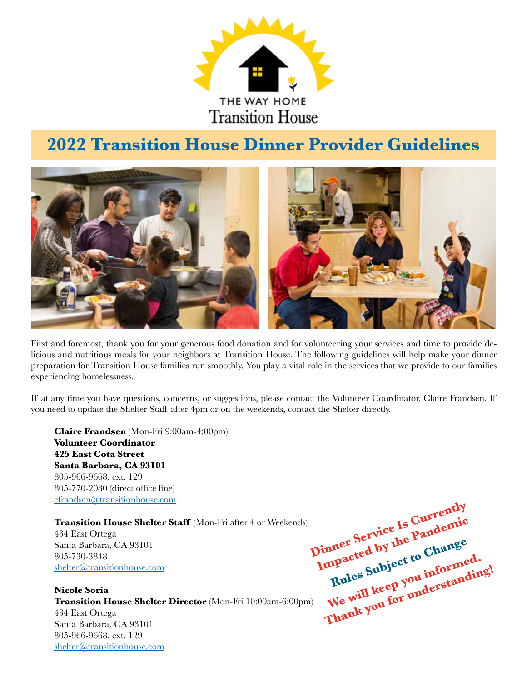

## **2022 Transition House Dinner Provider Guidelines**



First and foremost, thank you for your generous food donation and for volunteering your services and time to provide delicious and nutritious meals for your neighbors at Transition House. The following guidelines will help make your dinner preparation for Transition House families run smoothly. You play a vital role in the services that we provide to our families experiencing homelessness.

If at any time you have questions, concerns, or suggestions, please contact the Volunteer Coordinator, Claire Frandsen. If you need to update the Shelter Staff after 4pm or on the weekends, contact the Shelter directly.

**Claire Frandsen** (Mon-Fri 9:00am-4:00pm) **Volunteer Coordinator 425 East Cota Street Santa Barbara, CA 93101** 805-966-9668, ext. 129 805-770-2080 (direct office line) cfrandsen@transitionhouse.com

**Transition House Shelter Staff** (Mon-Fri after 4 or Weekends) 434 East Ortega Santa Barbara, CA 93101 805-730-3848 shelter@transitionhouse.com

**Nicole Soria Transition House Shelter Director** (Mon-Fri 10:00am-6:00pm) 434 East Ortega Santa Barbara, CA 93101 805-966-9668, ext. 129 shelter@transitionhouse.com

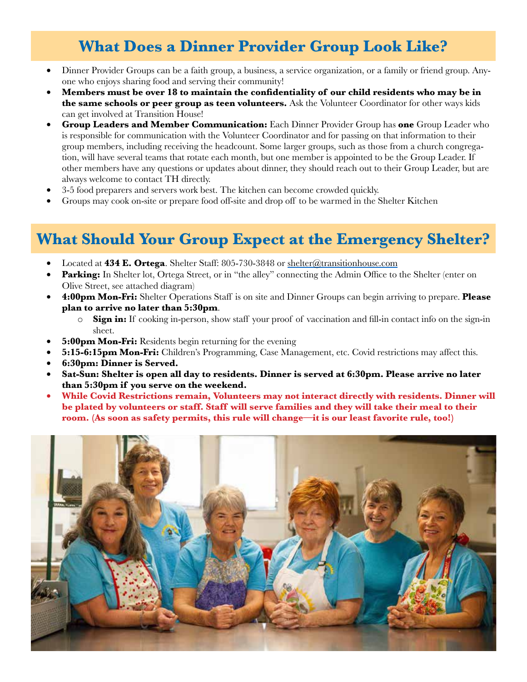## **What Does a Dinner Provider Group Look Like?**

- Dinner Provider Groups can be a faith group, a business, a service organization, or a family or friend group. Anyone who enjoys sharing food and serving their community!
- • **Members must be over 18 to maintain the confidentiality of our child residents who may be in the same schools or peer group as teen volunteers.** Ask the Volunteer Coordinator for other ways kids can get involved at Transition House!
- **Group Leaders and Member Communication:** Each Dinner Provider Group has **one** Group Leader who is responsible for communication with the Volunteer Coordinator and for passing on that information to their group members, including receiving the headcount. Some larger groups, such as those from a church congregation, will have several teams that rotate each month, but one member is appointed to be the Group Leader. If other members have any questions or updates about dinner, they should reach out to their Group Leader, but are always welcome to contact TH directly.
- 3-5 food preparers and servers work best. The kitchen can become crowded quickly.
- Groups may cook on-site or prepare food off-site and drop off to be warmed in the Shelter Kitchen

## **What Should Your Group Expect at the Emergency Shelter?**

- Located at **434 E. Ortega**. Shelter Staff: 805-730-3848 or shelter@transitionhouse.com
- **Parking:** In Shelter lot, Ortega Street, or in "the alley" connecting the Admin Office to the Shelter (enter on Olive Street, see attached diagram)
- **4:00pm Mon-Fri:** Shelter Operations Staff is on site and Dinner Groups can begin arriving to prepare. **Please plan to arrive no later than 5:30pm**.
	- o **Sign in:** If cooking in-person, show staff your proof of vaccination and fill-in contact info on the sign-in sheet.
- **5:00pm Mon-Fri:** Residents begin returning for the evening
- **5:15-6:15pm Mon-Fri:** Children's Programming, Case Management, etc. Covid restrictions may affect this.
- • **6:30pm: Dinner is Served.**
- Sat-Sun: Shelter is open all day to residents. Dinner is served at 6:30pm. Please arrive no later **than 5:30pm if you serve on the weekend.**
- While Covid Restrictions remain, Volunteers may not interact directly with residents. Dinner will **be plated by volunteers or staff. Staff will serve families and they will take their meal to their room. (As soon as safety permits, this rule will change—it is our least favorite rule, too!)**

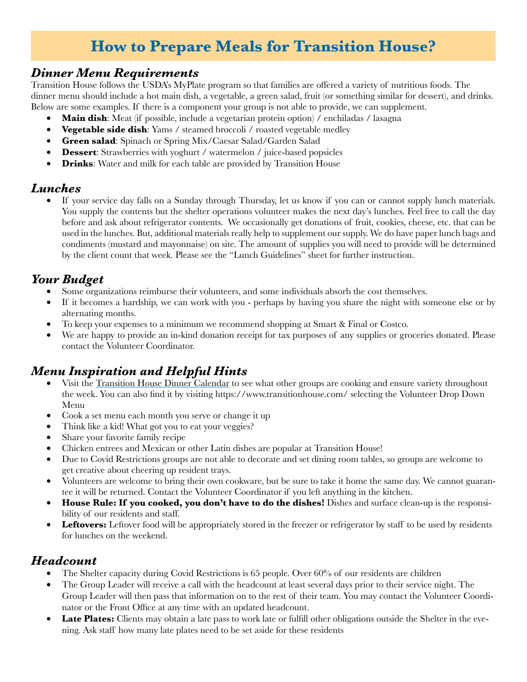## **How to Prepare Meals for Transition House?**

#### *Dinner Menu Requirements*

Transition House follows the USDA's MyPlate program so that families are offered a variety of nutritious foods. The dinner menu should include a hot main dish, a vegetable, a green salad, fruit (or something similar for dessert), and drinks. Below are some examples. If there is a component your group is not able to provide, we can supplement.

- **Main dish**: Meat (if possible, include a vegetarian protein option) / enchiladas / lasagna
- **Vegetable side dish:** Yams / steamed broccoli / roasted vegetable medley
- • **Green salad**: Spinach or Spring Mix/Caesar Salad/Garden Salad
- **Dessert:** Strawberries with yoghurt / watermelon / juice-based popsicles
- **Drinks**: Water and milk for each table are provided by Transition House

#### *Lunches*

• If your service day falls on a Sunday through Thursday, let us know if you can or cannot supply lunch materials. You supply the contents but the shelter operations volunteer makes the next day's lunches. Feel free to call the day before and ask about refrigerator contents. We occasionally get donations of fruit, cookies, cheese, etc. that can be used in the lunches. But, additional materials really help to supplement our supply. We do have paper lunch bags and condiments (mustard and mayonnaise) on site. The amount of supplies you will need to provide will be determined by the client count that week. Please see the "Lunch Guidelines" sheet for further instruction.

#### *Your Budget*

- Some organizations reimburse their volunteers, and some individuals absorb the cost themselves.
- If it becomes a hardship, we can work with you perhaps by having you share the night with someone else or by alternating months.
- To keep your expenses to a minimum we recommend shopping at Smart & Final or Costco.
- We are happy to provide an in-kind donation receipt for tax purposes of any supplies or groceries donated. Please contact the Volunteer Coordinator.

#### *Menu Inspiration and Helpful Hints*

- Visit the Transition House Dinner Calendar to see what other groups are cooking and ensure variety throughout the week. You can also find it by visiting https://www.transitionhouse.com/ selecting the Volunteer Drop Down Menu
- Cook a set menu each month you serve or change it up
- Think like a kid! What got you to eat your veggies?
- Share your favorite family recipe
- Chicken entrees and Mexican or other Latin dishes are popular at Transition House!
- Due to Covid Restrictions groups are not able to decorate and set dining room tables, so groups are welcome to get creative about cheering up resident trays.
- Volunteers are welcome to bring their own cookware, but be sure to take it home the same day. We cannot guarantee it will be returned. Contact the Volunteer Coordinator if you left anything in the kitchen.
- **House Rule: If you cooked, you don't have to do the dishes!** Dishes and surface clean-up is the responsibility of our residents and staff.
- **Leftovers:** Leftover food will be appropriately stored in the freezer or refrigerator by staff to be used by residents for lunches on the weekend.

#### *Headcount*

- The Shelter capacity during Covid Restrictions is 65 people. Over  $60\%$  of our residents are children
- The Group Leader will receive a call with the headcount at least several days prior to their service night. The Group Leader will then pass that information on to the rest of their team. You may contact the Volunteer Coordinator or the Front Office at any time with an updated headcount.
- **Late Plates:** Clients may obtain a late pass to work late or fulfill other obligations outside the Shelter in the evening. Ask staff how many late plates need to be set aside for these residents